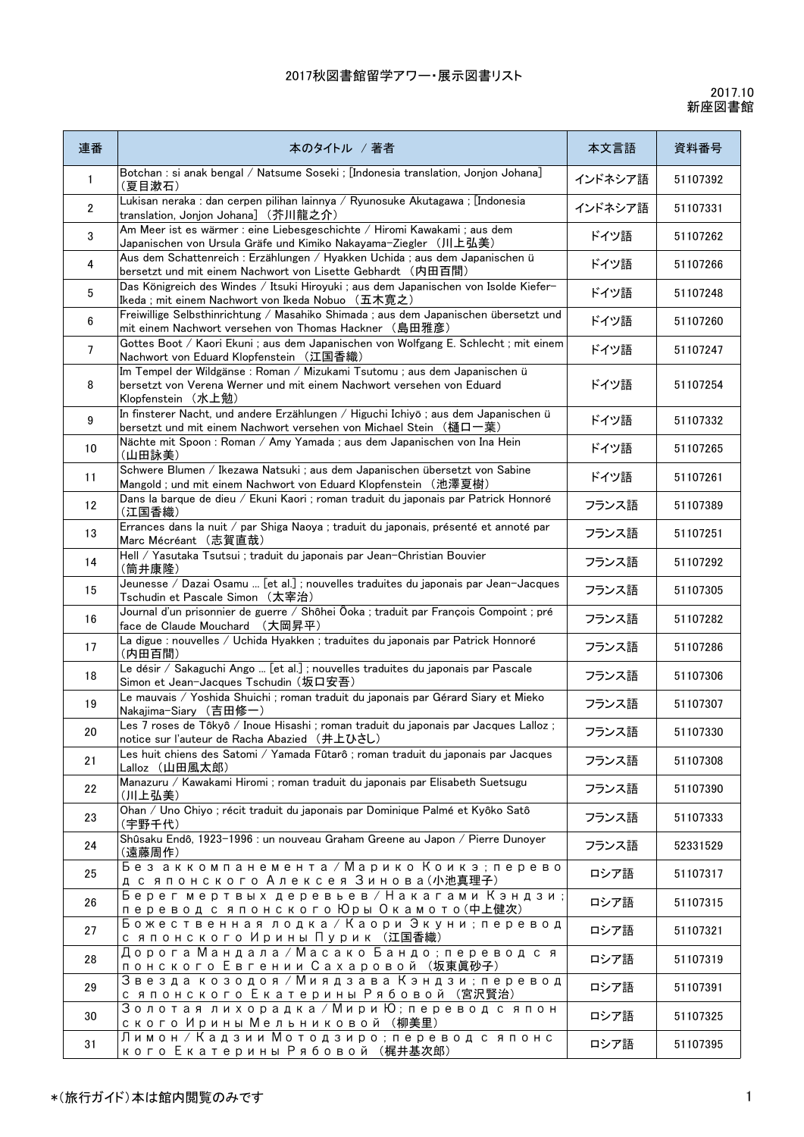| 連番             | 本のタイトル / 著者                                                                                                                                                               | 本文言語    | 資料番号     |
|----------------|---------------------------------------------------------------------------------------------------------------------------------------------------------------------------|---------|----------|
| 1              | Botchan : si anak bengal / Natsume Soseki ; [Indonesia translation, Jonjon Johana]<br>(夏目漱石)                                                                              | インドネシア語 | 51107392 |
| $\overline{2}$ | Lukisan neraka : dan cerpen pilihan lainnya / Ryunosuke Akutagawa ; [Indonesia<br>translation, Jonjon Johana](芥川龍之介)                                                      | インドネシア語 | 51107331 |
| 3              | Am Meer ist es wärmer : eine Liebesgeschichte / Hiromi Kawakami ; aus dem<br>Japanischen von Ursula Gräfe und Kimiko Nakayama-Ziegler (川上弘美)                              | ドイツ語    | 51107262 |
| 4              | Aus dem Schattenreich : Erzählungen / Hyakken Uchida ; aus dem Japanischen ü<br>bersetzt und mit einem Nachwort von Lisette Gebhardt (内田百間)                               | ドイツ語    | 51107266 |
| 5              | Das Königreich des Windes / Itsuki Hiroyuki ; aus dem Japanischen von Isolde Kiefer-<br>Ikeda ; mit einem Nachwort von Ikeda Nobuo (五木寛之)                                 | ドイツ語    | 51107248 |
| 6              | Freiwillige Selbsthinrichtung / Masahiko Shimada ; aus dem Japanischen übersetzt und<br>mit einem Nachwort versehen von Thomas Hackner (島田雅彦)                             | ドイツ語    | 51107260 |
| 7              | Gottes Boot / Kaori Ekuni ; aus dem Japanischen von Wolfgang E. Schlecht ; mit einem<br>Nachwort von Eduard Klopfenstein (江国香織)                                           | ドイツ語    | 51107247 |
| 8              | Im Tempel der Wildgänse : Roman / Mizukami Tsutomu ; aus dem Japanischen ü<br>bersetzt von Verena Werner und mit einem Nachwort versehen von Eduard<br>Klopfenstein (水上勉) | ドイツ語    | 51107254 |
| 9              | In finsterer Nacht, und andere Erzählungen / Higuchi Ichiyō ; aus dem Japanischen ü<br>bersetzt und mit einem Nachwort versehen von Michael Stein (樋口一葉)                  | ドイツ語    | 51107332 |
| 10             | Nächte mit Spoon : Roman / Amy Yamada ; aus dem Japanischen von Ina Hein<br>(山田詠美)                                                                                        | ドイツ語    | 51107265 |
| 11             | Schwere Blumen / Ikezawa Natsuki ; aus dem Japanischen übersetzt von Sabine<br>Mangold ; und mit einem Nachwort von Eduard Klopfenstein (池澤夏樹)                            | ドイツ語    | 51107261 |
| 12             | Dans la barque de dieu / Ekuni Kaori ; roman traduit du japonais par Patrick Honnoré<br>(江国香織)                                                                            | フランス語   | 51107389 |
| 13             | Errances dans la nuit / par Shiga Naoya ; traduit du japonais, présenté et annoté par<br>Marc Mécréant (志賀直哉)                                                             | フランス語   | 51107251 |
| 14             | Hell / Yasutaka Tsutsui ; traduit du japonais par Jean-Christian Bouvier<br>(筒井康隆)                                                                                        | フランス語   | 51107292 |
| 15             | Jeunesse / Dazai Osamu  [et al.] ; nouvelles traduites du japonais par Jean-Jacques<br>Tschudin et Pascale Simon (太宰治)                                                    | フランス語   | 51107305 |
| 16             | Journal d'un prisonnier de guerre / Shôhei Ôoka ; traduit par François Compoint ; pré<br>face de Claude Mouchard (大岡昇平)                                                   | フランス語   | 51107282 |
| 17             | La digue : nouvelles / Uchida Hyakken ; traduites du japonais par Patrick Honnoré<br>(内田百間)                                                                               | フランス語   | 51107286 |
| 18             | Le désir / Sakaguchi Ango  [et al.] ; nouvelles traduites du japonais par Pascale<br>Simon et Jean-Jacques Tschudin (坂口安吾)                                                | フランス語   | 51107306 |
| 19             | Le mauvais / Yoshida Shuichi ; roman traduit du japonais par Gérard Siary et Mieko<br>Nakajima-Siary (吉田修一)                                                               | フランス語   | 51107307 |
| $20\,$         | Les 7 roses de Tôkyô / Inoue Hisashi ; roman traduit du japonais par Jacques Lalloz ;<br>notice sur l'auteur de Racha Abazied (井上ひさし)                                     | フランス語   | 51107330 |
| 21             | Les huit chiens des Satomi / Yamada Fûtarô ; roman traduit du japonais par Jacques<br>Lalloz (山田風太郎)                                                                      | フランス語   | 51107308 |
| 22             | Manazuru / Kawakami Hiromi ; roman traduit du japonais par Elisabeth Suetsugu<br>(川上弘美)                                                                                   | フランス語   | 51107390 |
| 23             | Ohan / Uno Chiyo ; récit traduit du japonais par Dominique Palmé et Kyôko Satô<br>(宇野千代)                                                                                  | フランス語   | 51107333 |
| 24             | Shûsaku Endô, 1923-1996 : un nouveau Graham Greene au Japon / Pierre Dunoyer<br>(遠藤周作)                                                                                    | フランス語   | 52331529 |
| 25             | Без аккомпанемента / Марико Коикэ; перево<br>д с японского Алексея Зинова(小池真理子)                                                                                          | ロシア語    | 51107317 |
| 26             | Берег мертвых деревьев / Накагами Кэндзи;<br>перевод с японского Юры Окамото(中上健次)                                                                                        | ロシア語    | 51107315 |
| 27             | Божественная лодка / Каори Экуни; перевод<br>с японского Ирины Пурик (江国香織)                                                                                               | ロシア語    | 51107321 |
| 28             | Дорога Мандала / Масако Бандо ; перевод с я<br>понского Евгении Сахаровой (坂東眞砂子)                                                                                         | ロシア語    | 51107319 |
| 29             | Звезда козодоя / Миядзава Кэндзи; перевод<br>с японского Екатерины Рябовой (宮沢賢治)                                                                                         | ロシア語    | 51107391 |
| 30             | Золотая лихорадка / Мири Ю; перевод с япон<br>ского Ирины Мельниковой (柳美里)                                                                                               | ロシア語    | 51107325 |
| 31             | Лимон / Кадзии Мотодзиро; перевод с японс<br>кого Екатерины Рябовой (梶井基次郎)                                                                                               | ロシア語    | 51107395 |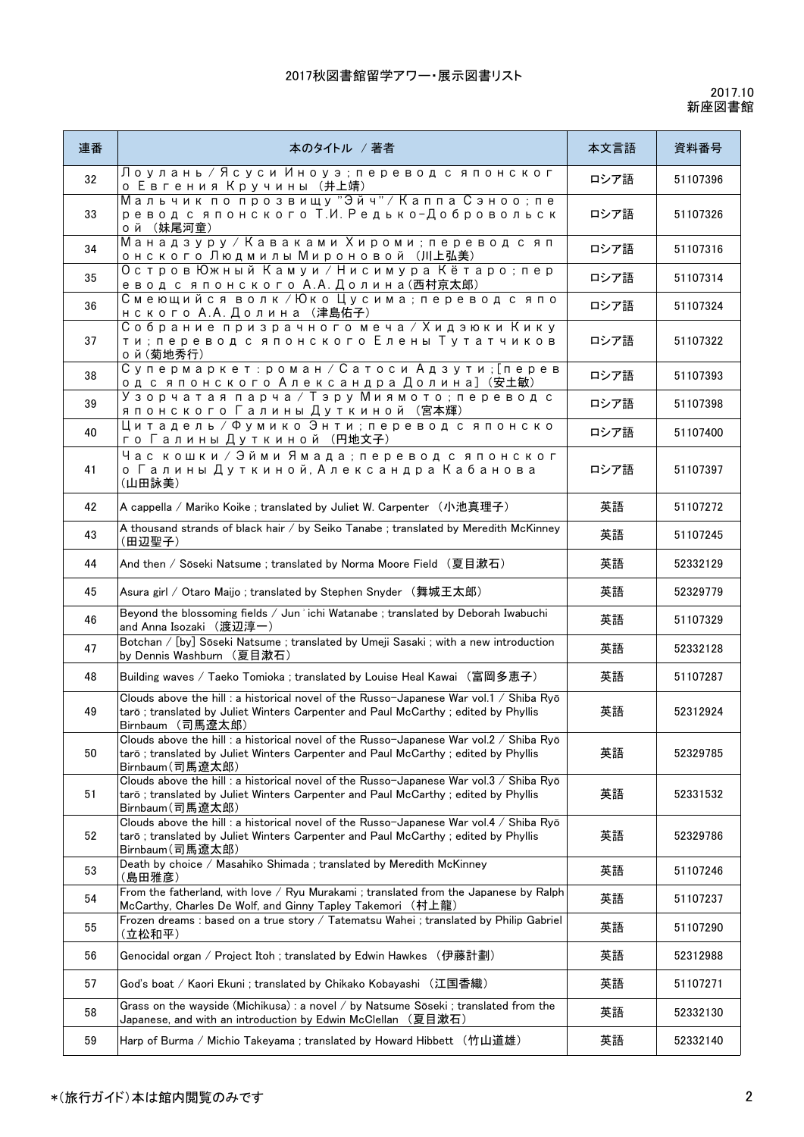| 連番 | 本のタイトル /著者                                                                                                                                                                                      | 本文言語 | 資料番号     |
|----|-------------------------------------------------------------------------------------------------------------------------------------------------------------------------------------------------|------|----------|
| 32 | Лоулань / Ясуси Иноуэ; перевод с японског<br>о Евгения Кручины (井上靖)                                                                                                                            | ロシア語 | 51107396 |
| 33 | Мальчик по прозвищу "Эйч" / Каппа Сэноо; пе<br>ревод с японского Т.И. Редько-Добровольск<br>ой (妹尾河童)                                                                                           | ロシア語 | 51107326 |
| 34 | Манадзуру / Каваками Хироми; перевод с яп<br>онского Людмилы Мироновой (川上弘美)                                                                                                                   | ロシア語 | 51107316 |
| 35 | Остров Южный Камуи / Нисимура Кётаро; пер<br>евод с японского А.А. Долина(西村京太郎)                                                                                                                | ロシア語 | 51107314 |
| 36 | Смеющийся волк / Юко Цусима; перевод с япо<br>HCKOГО А.А. Долина (津島佑子)                                                                                                                         | ロシア語 | 51107324 |
| 37 | Собрание призрачного меча / Хидэюки Кику<br>ти; перевод с японского Елены Тутатчиков<br>o й (菊地秀行)                                                                                              | ロシア語 | 51107322 |
| 38 | Супермаркет: роман / Сатоси Адзути; [перев<br>од с японского Александра Долина] (安土敏)                                                                                                           | ロシア語 | 51107393 |
| 39 | Узорчатая парча / Тэру Миямото; перевод с<br>японского Галины Дуткиной (宮本輝)                                                                                                                    | ロシア語 | 51107398 |
| 40 | Цитадель / Фумико Энти; перевод с японско<br>го Галины Дуткиной (円地文子)                                                                                                                          | ロシア語 | 51107400 |
| 41 | Час кошки / Эйми Ямада ; перевод с японског<br>о Галины Дуткиной, Александра Кабанова<br>(山田詠美)                                                                                                 | ロシア語 | 51107397 |
| 42 | A cappella / Mariko Koike ; translated by Juliet W. Carpenter (小池真理子)                                                                                                                           | 英語   | 51107272 |
| 43 | A thousand strands of black hair / by Seiko Tanabe; translated by Meredith McKinney<br>(田辺聖子)                                                                                                   | 英語   | 51107245 |
| 44 | And then / Sōseki Natsume ; translated by Norma Moore Field (夏目漱石)                                                                                                                              | 英語   | 52332129 |
| 45 | Asura girl / Otaro Maijo ; translated by Stephen Snyder (舞城王太郎)                                                                                                                                 | 英語   | 52329779 |
| 46 | Beyond the blossoming fields / Jun'ichi Watanabe; translated by Deborah Iwabuchi<br>and Anna Isozaki (渡辺淳一)                                                                                     | 英語   | 51107329 |
| 47 | Botchan / [by] Sōseki Natsume ; translated by Umeji Sasaki ; with a new introduction<br>by Dennis Washburn (夏目漱石)                                                                               | 英語   | 52332128 |
| 48 | Building waves / Taeko Tomioka ; translated by Louise Heal Kawai (富岡多恵子)                                                                                                                        | 英語   | 51107287 |
| 49 | Clouds above the hill : a historical novel of the Russo-Japanese War vol.1 / Shiba Ryō<br>tarō; translated by Juliet Winters Carpenter and Paul McCarthy; edited by Phyllis<br>Birnbaum (司馬遼太郎) | 英語   | 52312924 |
| 50 | Clouds above the hill : a historical novel of the Russo-Japanese War vol.2 / Shiba Ryō<br>tarō; translated by Juliet Winters Carpenter and Paul McCarthy; edited by Phyllis<br>Birnbaum(司馬遼太郎)  | 英語   | 52329785 |
| 51 | Clouds above the hill : a historical novel of the Russo-Japanese War vol.3 / Shiba Ryō<br>tarō; translated by Juliet Winters Carpenter and Paul McCarthy; edited by Phyllis<br>Birnbaum(司馬遼太郎)  | 英語   | 52331532 |
| 52 | Clouds above the hill : a historical novel of the Russo-Japanese War vol.4 / Shiba Ryō<br>tarō; translated by Juliet Winters Carpenter and Paul McCarthy; edited by Phyllis<br>Birnbaum(司馬遼太郎)  | 英語   | 52329786 |
| 53 | Death by choice / Masahiko Shimada ; translated by Meredith McKinney<br>(島田雅彦)                                                                                                                  | 英語   | 51107246 |
| 54 | From the fatherland, with love / Ryu Murakami ; translated from the Japanese by Ralph<br>McCarthy, Charles De Wolf, and Ginny Tapley Takemori (村上龍)                                             | 英語   | 51107237 |
| 55 | Frozen dreams : based on a true story / Tatematsu Wahei ; translated by Philip Gabriel<br>(立松和平)                                                                                                | 英語   | 51107290 |
| 56 | Genocidal organ / Project Itoh ; translated by Edwin Hawkes (伊藤計劃)                                                                                                                              | 英語   | 52312988 |
| 57 | God's boat / Kaori Ekuni ; translated by Chikako Kobayashi (江国香織)                                                                                                                               | 英語   | 51107271 |
| 58 | Grass on the wayside (Michikusa) : a novel / by Natsume Sōseki ; translated from the<br>Japanese, and with an introduction by Edwin McClellan (夏目漱石)                                            | 英語   | 52332130 |
| 59 | Harp of Burma / Michio Takeyama ; translated by Howard Hibbett (竹山道雄)                                                                                                                           | 英語   | 52332140 |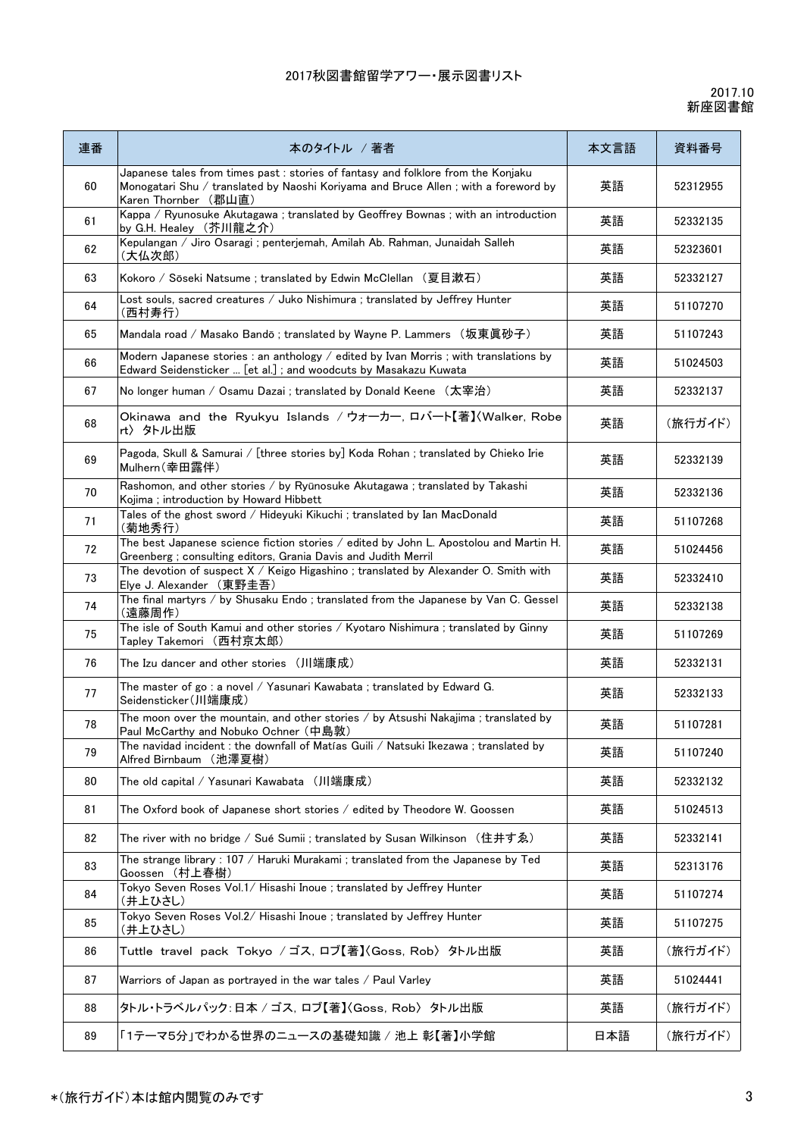| 連番 | 本のタイトル / 著者                                                                                                                                                                                      | 本文言語 | 資料番号     |
|----|--------------------------------------------------------------------------------------------------------------------------------------------------------------------------------------------------|------|----------|
| 60 | Japanese tales from times past : stories of fantasy and folklore from the Konjaku<br>Monogatari Shu / translated by Naoshi Koriyama and Bruce Allen ; with a foreword by<br>Karen Thornber (郡山直) | 英語   | 52312955 |
| 61 | Kappa / Ryunosuke Akutagawa; translated by Geoffrey Bownas; with an introduction<br>by G.H. Healey (芥川龍之介)                                                                                       | 英語   | 52332135 |
| 62 | Kepulangan / Jiro Osaragi ; penterjemah, Amilah Ab. Rahman, Junaidah Salleh<br>(大仏次郎)                                                                                                            | 英語   | 52323601 |
| 63 | Kokoro / Sōseki Natsume ; translated by Edwin McClellan (夏目漱石)                                                                                                                                   | 英語   | 52332127 |
| 64 | Lost souls, sacred creatures / Juko Nishimura ; translated by Jeffrey Hunter<br>(西村寿行)                                                                                                           | 英語   | 51107270 |
| 65 | Mandala road / Masako Bandō ; translated by Wayne P. Lammers (坂東眞砂子)                                                                                                                             | 英語   | 51107243 |
| 66 | Modern Japanese stories : an anthology / edited by Ivan Morris ; with translations by<br>Edward Seidensticker  [et al.]; and woodcuts by Masakazu Kuwata                                         | 英語   | 51024503 |
| 67 | No longer human / Osamu Dazai ; translated by Donald Keene (太宰治)                                                                                                                                 | 英語   | 52332137 |
| 68 | Okinawa and the Ryukyu Islands / ウォーカー, ロバート【著】〈Walker, Robe<br>rt〉 タトル出版                                                                                                                        | 英語   | (旅行ガイド)  |
| 69 | Pagoda, Skull & Samurai / [three stories by] Koda Rohan ; translated by Chieko Irie<br>Mulhern(幸田露伴)                                                                                             | 英語   | 52332139 |
| 70 | Rashomon, and other stories / by Ryūnosuke Akutagawa ; translated by Takashi<br>Kojima ; introduction by Howard Hibbett                                                                          | 英語   | 52332136 |
| 71 | Tales of the ghost sword / Hideyuki Kikuchi ; translated by Ian MacDonald<br>(菊地秀行)                                                                                                              | 英語   | 51107268 |
| 72 | The best Japanese science fiction stories / edited by John L. Apostolou and Martin H.<br>Greenberg; consulting editors, Grania Davis and Judith Merril                                           | 英語   | 51024456 |
| 73 | The devotion of suspect X / Keigo Higashino; translated by Alexander O. Smith with<br>Elye J. Alexander (東野圭吾)                                                                                   | 英語   | 52332410 |
| 74 | The final martyrs / by Shusaku Endo; translated from the Japanese by Van C. Gessel<br>(遠藤周作)                                                                                                     | 英語   | 52332138 |
| 75 | The isle of South Kamui and other stories / Kyotaro Nishimura ; translated by Ginny<br>Tapley Takemori (西村京太郎)                                                                                   | 英語   | 51107269 |
| 76 | The Izu dancer and other stories (川端康成)                                                                                                                                                          | 英語   | 52332131 |
| 77 | The master of go: a novel / Yasunari Kawabata; translated by Edward G.<br>Seidensticker(川端康成)                                                                                                    | 英語   | 52332133 |
| 78 | The moon over the mountain, and other stories / by Atsushi Nakajima; translated by<br>Paul McCarthy and Nobuko Ochner (中島敦)                                                                      | 英語   | 51107281 |
| 79 | The navidad incident : the downfall of Matías Guili / Natsuki Ikezawa ; translated by<br>Alfred Birnbaum (池澤夏樹)                                                                                  | 英語   | 51107240 |
| 80 | The old capital / Yasunari Kawabata (川端康成)                                                                                                                                                       | 英語   | 52332132 |
| 81 | The Oxford book of Japanese short stories / edited by Theodore W. Goossen                                                                                                                        | 英語   | 51024513 |
| 82 | The river with no bridge / Sué Sumii ; translated by Susan Wilkinson (住井すゑ)                                                                                                                      | 英語   | 52332141 |
| 83 | The strange library : 107 / Haruki Murakami ; translated from the Japanese by Ted<br>Goossen (村上春樹)                                                                                              | 英語   | 52313176 |
| 84 | Tokyo Seven Roses Vol.1/ Hisashi Inoue ; translated by Jeffrey Hunter<br>(井上ひさし)                                                                                                                 | 英語   | 51107274 |
| 85 | Tokyo Seven Roses Vol.2/ Hisashi Inoue ; translated by Jeffrey Hunter<br>(井上ひさし)                                                                                                                 | 英語   | 51107275 |
| 86 | Tuttle travel pack Tokyo / ゴス, ロブ【著】〈Goss, Rob〉 外ル出版                                                                                                                                             | 英語   | (旅行ガイド)  |
| 87 | Warriors of Japan as portrayed in the war tales / Paul Varley                                                                                                                                    | 英語   | 51024441 |
| 88 | タトル・トラベルパック:日本 / ゴス, ロブ【著】〈Goss, Rob〉 タトル出版                                                                                                                                                      | 英語   | (旅行ガイド)  |
| 89 | 「1テーマ5分」でわかる世界のニュースの基礎知識 / 池上 彰【著】小学館                                                                                                                                                            | 日本語  | (旅行ガイド)  |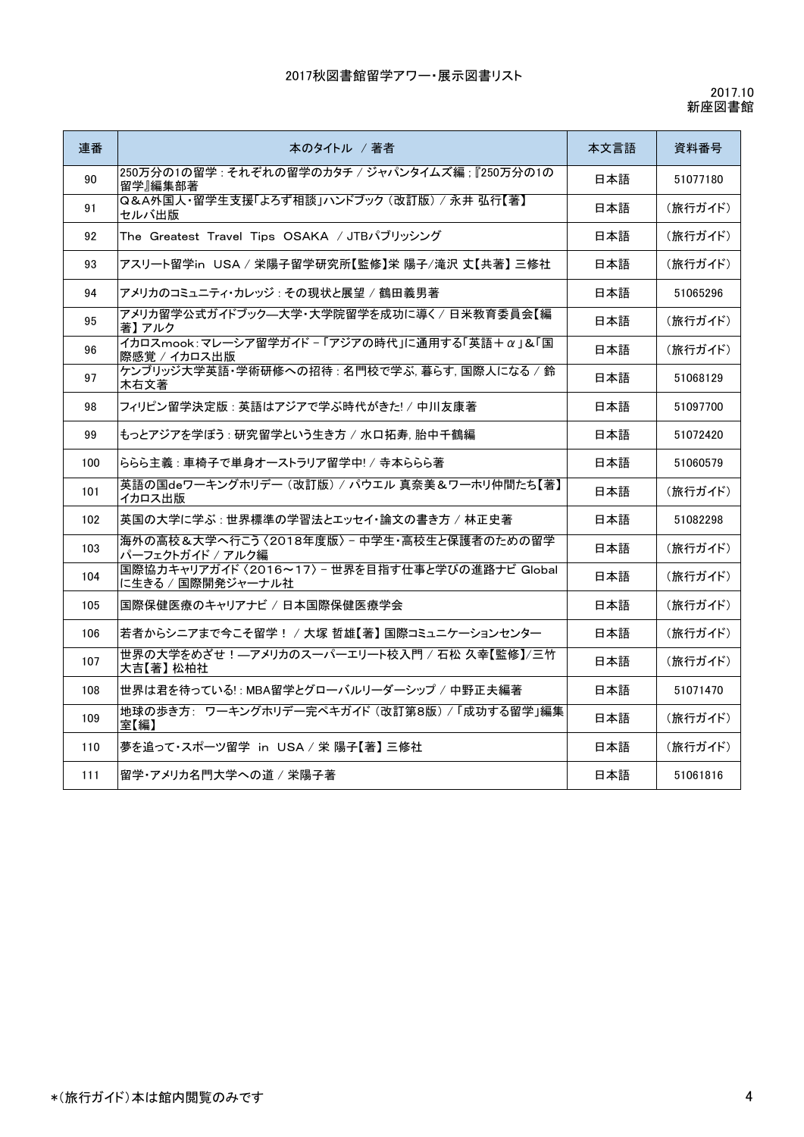| 連番  | 本のタイトル / 著者                                                          | 本文言語 | 資料番号     |
|-----|----------------------------------------------------------------------|------|----------|
| 90  | 250万分の1の留学 : それぞれの留学のカタチ / ジャパンタイムズ編 : 『250万分の1の<br>留学』編集部著          | 日本語  | 51077180 |
| 91  | Q&A外国人·留学生支援「よろず相談」ハンドブック (改訂版) / 永井 弘行【著】<br>セルバ出版                  | 日本語  | (旅行ガイド)  |
| 92  | The Greatest Travel Tips OSAKA / JTBパブリッシング                          | 日本語  | (旅行ガイド)  |
| 93  | アスリート留学in USA / 栄陽子留学研究所【監修】栄 陽子/滝沢 丈【共著】 三修社                        | 日本語  | (旅行ガイド)  |
| 94  | アメリカのコミュニティ・カレッジ : その現状と展望 / 鶴田義男著                                   | 日本語  | 51065296 |
| 95  | アメリカ留学公式ガイドブック—大学・大学院留学を成功に導く / 日米教育委員会【編<br>著】アルク                   | 日本語  | (旅行ガイド)  |
| 96  | イカロスmook:マレーシア留学ガイド - 「アジアの時代」に通用する「英語+α」&「国<br>際感覚 / イカロス出版         | 日本語  | (旅行ガイド)  |
| 97  | ケンブリッジ大学英語・学術研修への招待:名門校で学ぶ、暮らす、国際人になる / 鈴<br>木右文著                    | 日本語  | 51068129 |
| 98  | フィリピン留学決定版 : 英語はアジアで学ぶ時代がきた! / 中川友康著                                 | 日本語  | 51097700 |
| 99  | もっとアジアを学ぼう : 研究留学という生き方 / 水口拓寿. 胎中千鶴編                                | 日本語  | 51072420 |
| 100 | ららら主義 : 車椅子で単身オーストラリア留学中! / 寺本ららら著                                   | 日本語  | 51060579 |
| 101 | 英語の国deワーキングホリデー (改訂版) / パウエル 真奈美&ワーホリ仲間たち【著】<br>イカロス出版               | 日本語  | (旅行ガイド)  |
| 102 | 英国の大学に学ぶ : 世界標準の学習法とエッセイ・論文の書き方 / 林正史著                               | 日本語  | 51082298 |
| 103 | 海外の高校&大学へ行こう〈2018年度版〉 - 中学生・高校生と保護者のための留学<br>パーフェクトガイド / アルク編        | 日本語  | (旅行ガイド)  |
| 104 | 国際協力キャリアガイド 〈2016~17〉 - 世界を目指す仕事と学びの進路ナビ Global<br>に生きる / 国際開発ジャーナル社 | 日本語  | (旅行ガイド)  |
| 105 | 国際保健医療のキャリアナビ / 日本国際保健医療学会                                           | 日本語  | (旅行ガイド)  |
| 106 | 若者からシニアまで今こそ留学! / 大塚 哲雄【著】 国際コミュニケーションセンター                           | 日本語  | (旅行ガイド)  |
| 107 | 世界の大学をめざせ!―アメリカのスーパーエリート校入門 / 石松 久幸【監修】/三竹<br>大吉【著】 松柏社              | 日本語  | (旅行ガイド)  |
| 108 | 世界は君を待っている!: MBA留学とグローバルリーダーシップ / 中野正夫編著                             | 日本語  | 51071470 |
| 109 | 地球の歩き方: ワーキングホリデー完ペキガイド (改訂第8版) / 「成功する留学」編集<br>室【編】                 | 日本語  | (旅行ガイド)  |
| 110 | 夢を追って·スポーツ留学 in USA / 栄 陽子【著】 三修社                                    | 日本語  | (旅行ガイド)  |
| 111 | 留学・アメリカ名門大学への道 / 栄陽子著                                                | 日本語  | 51061816 |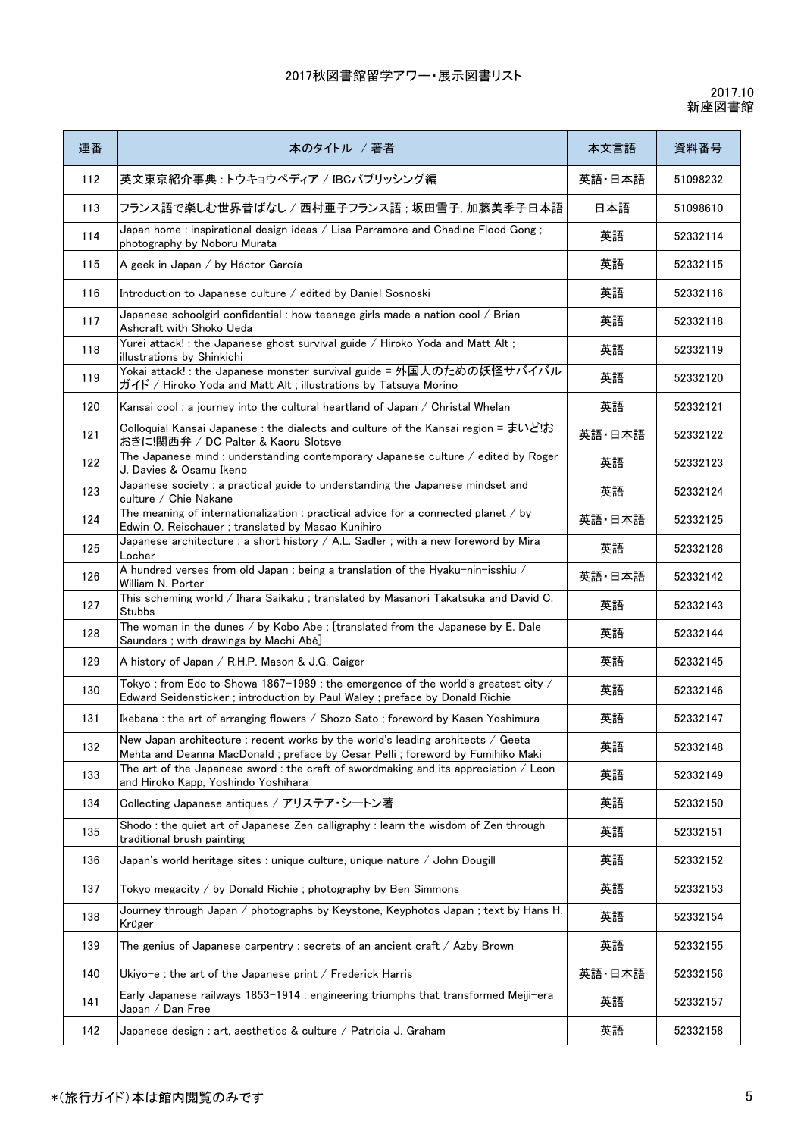| 連番  | 本のタイトル / 著者                                                                                                                                                        | 本文言語   | 資料番号     |
|-----|--------------------------------------------------------------------------------------------------------------------------------------------------------------------|--------|----------|
| 112 | 英文東京紹介事典:トウキョウペディア / IBCパブリッシング編                                                                                                                                   | 英語·日本語 | 51098232 |
| 113 | フランス語で楽しむ世界昔ばなし / 西村亜子フランス語 ; 坂田雪子, 加藤美季子日本語                                                                                                                       | 日本語    | 51098610 |
| 114 | Japan home: inspirational design ideas / Lisa Parramore and Chadine Flood Gong;<br>photography by Noboru Murata                                                    | 英語     | 52332114 |
| 115 | A geek in Japan / by Héctor García                                                                                                                                 | 英語     | 52332115 |
| 116 | Introduction to Japanese culture / edited by Daniel Sosnoski                                                                                                       | 英語     | 52332116 |
| 117 | Japanese schoolgirl confidential : how teenage girls made a nation cool / Brian<br>Ashcraft with Shoko Ueda                                                        | 英語     | 52332118 |
| 118 | Yurei attack! : the Japanese ghost survival guide / Hiroko Yoda and Matt Alt;<br>illustrations by Shinkichi                                                        | 英語     | 52332119 |
| 119 | Yokai attack! : the Japanese monster survival guide = 外国人のための妖怪サバイバル<br>ガイド / Hiroko Yoda and Matt Alt ; illustrations by Tatsuya Morino                           | 英語     | 52332120 |
| 120 | Kansai cool: a journey into the cultural heartland of Japan / Christal Whelan                                                                                      | 英語     | 52332121 |
| 121 | Colloquial Kansai Japanese : the dialects and culture of the Kansai region = まいどお<br>おきに!関西弁 / DC Palter & Kaoru Slotsve                                           | 英語・日本語 | 52332122 |
| 122 | The Japanese mind : understanding contemporary Japanese culture / edited by Roger<br>J. Davies & Osamu Ikeno                                                       | 英語     | 52332123 |
| 123 | Japanese society : a practical guide to understanding the Japanese mindset and<br>culture / Chie Nakane                                                            | 英語     | 52332124 |
| 124 | The meaning of internationalization : practical advice for a connected planet / by<br>Edwin O. Reischauer; translated by Masao Kunihiro                            | 英語·日本語 | 52332125 |
| 125 | Japanese architecture : a short history $/$ A.L. Sadler; with a new foreword by Mira<br>Locher                                                                     | 英語     | 52332126 |
| 126 | A hundred verses from old Japan : being a translation of the Hyaku-nin-isshiu /<br>William N. Porter                                                               | 英語·日本語 | 52332142 |
| 127 | This scheming world / Ihara Saikaku; translated by Masanori Takatsuka and David C.<br><b>Stubbs</b>                                                                | 英語     | 52332143 |
| 128 | The woman in the dunes / by Kobo Abe ; [translated from the Japanese by E. Dale<br>Saunders ; with drawings by Machi Abé]                                          | 英語     | 52332144 |
| 129 | A history of Japan / R.H.P. Mason & J.G. Caiger                                                                                                                    | 英語     | 52332145 |
| 130 | Tokyo: from Edo to Showa 1867-1989 : the emergence of the world's greatest city /<br>Edward Seidensticker; introduction by Paul Waley; preface by Donald Richie    | 英語     | 52332146 |
| 131 | Ikebana: the art of arranging flowers / Shozo Sato; foreword by Kasen Yoshimura                                                                                    | 英語     | 52332147 |
| 132 | New Japan architecture : recent works by the world's leading architects / Geeta<br>Mehta and Deanna MacDonald ; preface by Cesar Pelli ; foreword by Fumihiko Maki | 英語     | 52332148 |
| 133 | The art of the Japanese sword : the craft of swordmaking and its appreciation / Leon<br>and Hiroko Kapp, Yoshindo Yoshihara                                        | 英語     | 52332149 |
| 134 | Collecting Japanese antiques / アリステア・シートン著                                                                                                                         | 英語     | 52332150 |
| 135 | Shodo: the quiet art of Japanese Zen calligraphy: learn the wisdom of Zen through<br>traditional brush painting                                                    | 英語     | 52332151 |
| 136 | Japan's world heritage sites : unique culture, unique nature / John Dougill                                                                                        | 英語     | 52332152 |
| 137 | Tokyo megacity / by Donald Richie ; photography by Ben Simmons                                                                                                     | 英語     | 52332153 |
| 138 | Journey through Japan / photographs by Keystone, Keyphotos Japan; text by Hans H.<br>Krüger                                                                        | 英語     | 52332154 |
| 139 | The genius of Japanese carpentry : secrets of an ancient craft / Azby Brown                                                                                        | 英語     | 52332155 |
| 140 | Ukiyo-e: the art of the Japanese print / Frederick Harris                                                                                                          | 英語·日本語 | 52332156 |
| 141 | Early Japanese railways 1853-1914 : engineering triumphs that transformed Meiji-era<br>Japan / Dan Free                                                            | 英語     | 52332157 |
| 142 | Japanese design : art, aesthetics & culture / Patricia J. Graham                                                                                                   | 英語     | 52332158 |